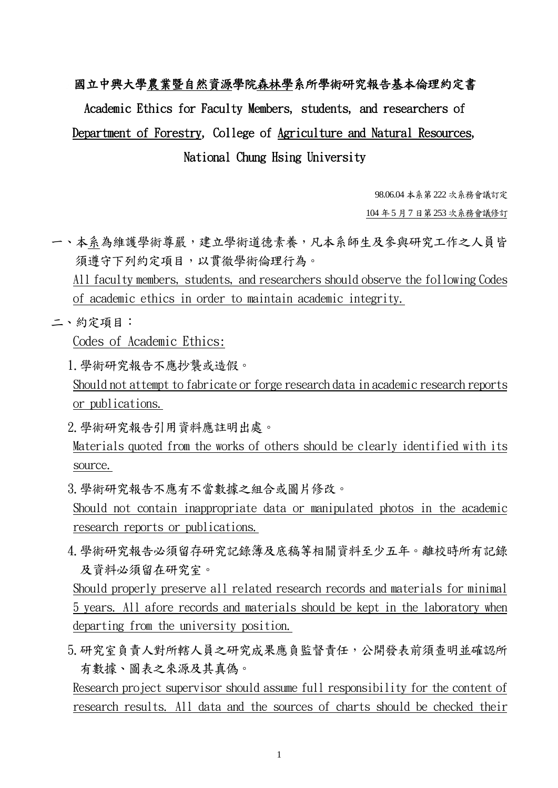## 國立中興大學農業暨自然資源學院森林學系所學術研究報告基本倫理約定書

## Academic Ethics for Faculty Members, students, and researchers of Department of Forestry, College of Agriculture and Natural Resources, National Chung Hsing University

98.06.04 本系第222 次系務會議訂定

104 年5 月7 日第253 次系務會議修訂

- 一、本系為維護學術尊嚴,建立學術道德素養,凡本系師生及參與研究工作之人員皆 須遵守下列約定項目,以貫徹學術倫理行為。 All faculty members, students, and researchers should observe the following Codes of academic ethics in order to maintain academic integrity.
- 二、約定項目:

Codes of Academic Ethics:

- 1.學術研究報告不應抄襲或造假。 Should not attempt to fabricate or forge research data in academic research reports or publications.
- 2.學術研究報告引用資料應註明出處。
- Materials quoted from the works of others should be clearly identified with its source.

3.學術研究報告不應有不當數據之組合或圖片修改。

Should not contain inappropriate data or manipulated photos in the academic research reports or publications.

4.學術研究報告必須留存研究記錄簿及底稿等相關資料至少五年。離校時所有記錄 及資料必須留在研究室。

Should properly preserve all related research records and materials for minimal 5 years. All afore records and materials should be kept in the laboratory when departing from the university position.

5.研究室負責人對所轄人員之研究成果應負監督責任,公開發表前須查明並確認所 有數據、圖表之來源及其真偽。

Research project supervisor should assume full responsibility for the content of research results. All data and the sources of charts should be checked their